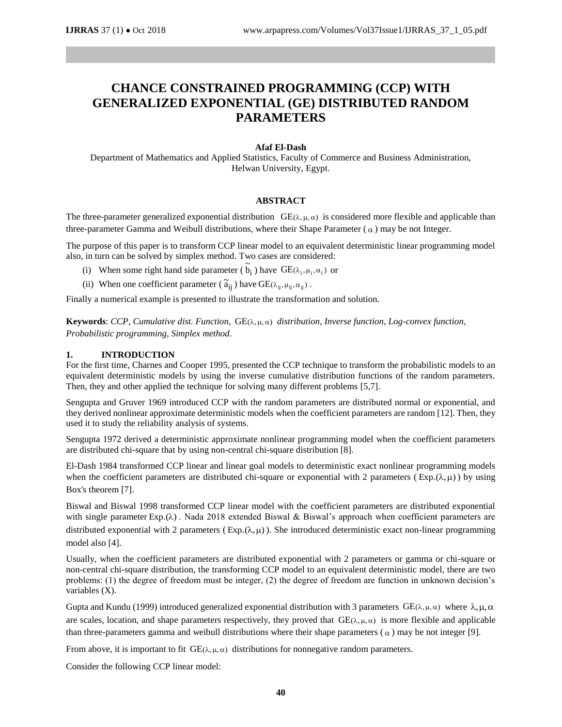# **CHANCE CONSTRAINED PROGRAMMING (CCP) WITH GENERALIZED EXPONENTIAL (GE) DISTRIBUTED RANDOM PARAMETERS**

## **Afaf El-Dash**

Department of Mathematics and Applied Statistics, Faculty of Commerce and Business Administration, Helwan University, Egypt.

#### **ABSTRACT**

The three-parameter generalized exponential distribution  $GE(\lambda, \mu, \alpha)$  is considered more flexible and applicable than three-parameter Gamma and Weibull distributions, where their Shape Parameter  $(\alpha)$  may be not Integer.

The purpose of this paper is to transform CCP linear model to an equivalent deterministic linear programming model also, in turn can be solved by simplex method. Two cases are considered:

- (i) When some right hand side parameter ( $b_i$ ) have  $GE(\lambda_i, \mu_i, \alpha_i)$  or
- (ii) When one coefficient parameter ( $\tilde{a}_{ij}$ ) have  $GE(\lambda_{ij}, \mu_{ij}, \alpha_{ij})$ .

Finally a numerical example is presented to illustrate the transformation and solution.

**Keywords**: *CCP*, *Cumulative dist. Function,*  $GE(\lambda, \mu, \alpha)$  *distribution, Inverse function, Log-convex function, Probabilistic programming, Simplex method.*

~

### **1. INTRODUCTION**

For the first time, Charnes and Cooper 1995, presented the CCP technique to transform the probabilistic models to an equivalent deterministic models by using the inverse cumulative distribution functions of the random parameters. Then, they and other applied the technique for solving many different problems [5,7].

Sengupta and Gruver 1969 introduced CCP with the random parameters are distributed normal or exponential, and they derived nonlinear approximate deterministic models when the coefficient parameters are random [12]. Then, they used it to study the reliability analysis of systems.

Sengupta 1972 derived a deterministic approximate nonlinear programming model when the coefficient parameters are distributed chi-square that by using non-central chi-square distribution [8].

El-Dash 1984 transformed CCP linear and linear goal models to deterministic exact nonlinear programming models when the coefficient parameters are distributed chi-square or exponential with 2 parameters ( $Exp(\lambda, \mu)$ ) by using Box's theorem [7].

Biswal and Biswal 1998 transformed CCP linear model with the coefficient parameters are distributed exponential with single parameter Exp.( $\lambda$ ). Nada 2018 extended Biswal & Biswal's approach when coefficient parameters are distributed exponential with 2 parameters ( $Exp(\lambda, \mu)$ ). She introduced deterministic exact non-linear programming model also [4].

Usually, when the coefficient parameters are distributed exponential with 2 parameters or gamma or chi-square or non-central chi-square distribution, the transforming CCP model to an equivalent deterministic model, there are two problems: (1) the degree of freedom must be integer, (2) the degree of freedom are function in unknown decision's variables (X).

Gupta and Kundu (1999) introduced generalized exponential distribution with 3 parameters  $GE(\lambda, \mu, \alpha)$  where  $\lambda, \mu, \alpha$ are scales, location, and shape parameters respectively, they proved that  $GE(\lambda, \mu, \alpha)$  is more flexible and applicable than three-parameters gamma and weibull distributions where their shape parameters ( $\alpha$ ) may be not integer [9].

From above, it is important to fit GE( $\lambda, \mu, \alpha$ ) distributions for nonnegative random parameters.

Consider the following CCP linear model: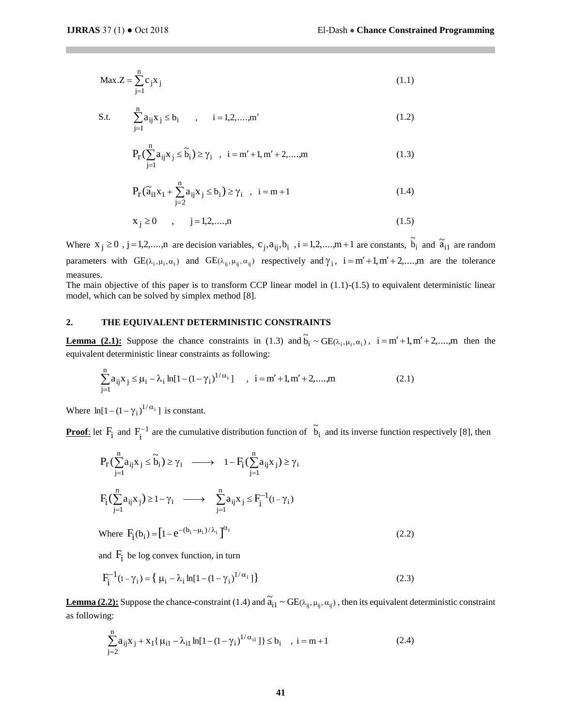$$
\text{Max.}Z = \sum_{j=1}^{n} c_j x_j \tag{1.1}
$$

S.t. 
$$
\sum_{j=1}^{n} a_{ij} x_j \le b_i, \qquad i = 1, 2, ..., m'
$$
 (1.2)

$$
P_{r}(\sum_{j=1}^{n} a_{ij} x_{j} \le \tilde{b}_{i}) \ge \gamma_{i} , i = m' + 1, m' + 2, \dots, m
$$
 (1.3)

$$
P_{r}(\tilde{a}_{i1}x_{1} + \sum_{j=2}^{n} a_{ij}x_{j} \le b_{i}) \ge \gamma_{i} , i = m+1
$$
 (1.4)

$$
x_j \ge 0 \qquad , \qquad j = 1, 2, \dots, n \tag{1.5}
$$

Where  $x_j \ge 0$ ,  $j = 1, 2, \dots, n$  are decision variables,  $c_j, a_{ij}, b_i$ ,  $i = 1, 2, \dots, m + 1$  are constants,  $\tilde{b}_i$  and  $\tilde{a}_{i1}$  are random parameters with  $GE(\lambda_i, \mu_i, \alpha_i)$  and  $GE(\lambda_{ij}, \mu_{ij}, \alpha_{ij})$  respectively and  $\gamma_i$ ,  $i = m' + 1, m' + 2, \dots, m$  are the tolerance measures.

The main objective of this paper is to transform CCP linear model in  $(1.1)-(1.5)$  to equivalent deterministic linear model, which can be solved by simplex method [8].

### **2. THE EQUIVALENT DETERMINISTIC CONSTRAINTS**

**Lemma (2.1):** Suppose the chance constraints in (1.3) and  $\tilde{b}_i \sim GE(\lambda_i, \mu_i, \alpha_i)$ ,  $i = m' + 1, m' + 2, \dots, m$  then the equivalent deterministic linear constraints as following:

$$
\sum_{j=1}^{n} a_{ij} x_j \le \mu_i - \lambda_i \ln[1 - (1 - \gamma_i)^{1/\alpha_i}] \quad , \quad i = m' + 1, m' + 2, \dots, m
$$
 (2.1)

Where  $\ln[1-(1-\gamma_i)^{1/\alpha_i}]$  is constant.

**Proof:** let  $F_i$  and  $F_i^{-1}$  $F_i^{-1}$  are the cumulative distribution function of  $\tilde{b}_i$  and its inverse function respectively [8], then

Max. 
$$
Z = \sum_{j=1}^{n} c_j x_j
$$
 (1.1)  
\nS.t.  $\sum_{j=1}^{n} a_{ij}x_j \le b_i$ ,  $i = 1, 2, ..., m'$  (1.2)  
\n $P_r(\sum_{j=1}^{n} a_{ij}x_j \le b_i) \ge \gamma_i$ ,  $i = m' + 1, m' + 2, ..., m$  (1.3)  
\n $P_r(\tilde{a}_{i1}x_1 + \sum_{j=2}^{n} a_{ij}x_j \le b_i) \ge \gamma_i$ ,  $i = m + 1$  (1.4)  
\n $x_j \ge 0$ ,  $j = 1, 2, ..., n$  (1.5)  
\n $i_j \ge 0$ ,  $j = 1, 2, ..., n$  (1.6)  
\n $x_j \ge 0$ ,  $j = 1, 2, ..., n$  (1.7)  
\nSis the  $\sum_{j=1}^{n} c_j$ ,  $c_j, a_{ij}, b_j$ ,  $i = 1, 2, ..., m + 1$  are constants,  $\tilde{b}_j$   
\nso the *GE*( $\alpha_{i_1}, \mu_i, \alpha_i$ ) and  $GE(\alpha_{i_2}, \mu_{i_3}, \alpha_{i_3})$  respectively and  $\gamma_i$ ,  $i = m' + 1, m' + 2, ..., m$   
\n*choiceive of this paper is to transform CCP linear model in (1.1)-(1.5) to equivalent  
\nwhich can be solved by simplex method [8].  
\n**THE EQUIVALENT DETERMINISTIC CONSTRAINTIS**  
\n**THE EQUIVALEINT DETERMINISTIC CONSTRAINTIS**  
\n**THE EQUIVATEENT DETERMINISTIC CONSTRAINTIS**  
\n**THE EQUIVATEENT DETERMINISTIC CONSTRAINTIS**  
\n**THE EQUIVATE**  
\n**THE EQUIVATE**  
\n**THE EQUIVATE**  
\n**THE EQUIVATE**  
\n**THE EQUIVATE**  
\n**THE EQUIVATE**  
\n**THE EQUIVATE**  
\n**THE EQUIVATE**  
\n**THE EQUIVATE**  
\n**THE EQUIVATE**  
\n**THE EQUIVATE**  
\n**THE EQUIVATE**  
\*

and  $F_i$  be log convex function, in turn

$$
F_{i}^{-1}(1 - \gamma_{i}) = \{ \mu_{i} - \lambda_{i} \ln[1 - (1 - \gamma_{i})^{1/\alpha_{i}}] \}
$$
 (2.3)

**Lemma (2.2):** Suppose the chance-constraint (1.4) and  $\tilde{a}_{i1} \sim GE(\lambda_{ij}, \mu_{ij}, \alpha_{ij})$ , then its equivalent deterministic constraint as following:

$$
\sum_{j=2}^{n} a_{ij} x_j + x_1 \{ \mu_{i1} - \lambda_{i1} \ln[1 - (1 - \gamma_i)^{1/\alpha_{i1}} ] \} \le b_i , \quad i = m+1
$$
 (2.4)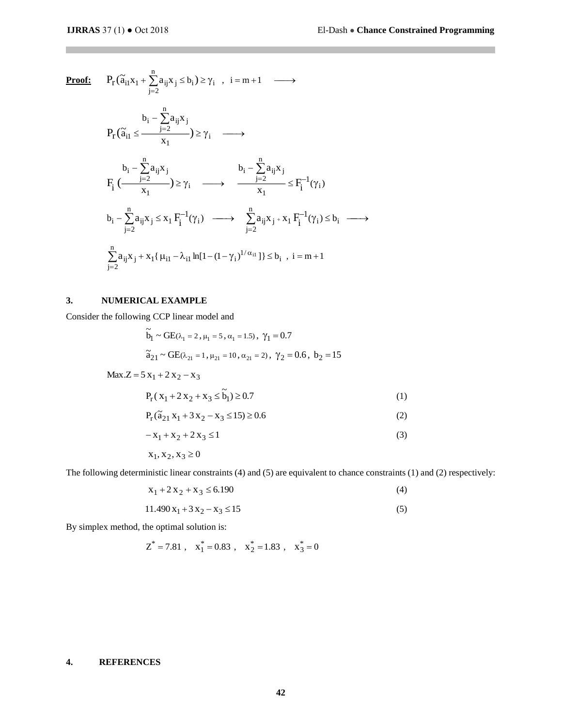**Proof:**  $P_r(\tilde{a}_{i1}x_1 + \sum_{i=2}^n a_{ij}x_j \le b_i) \ge \gamma_i$ ,  $i = m + 1 \longrightarrow$  $j = 2$  $P_r(\tilde{a}_{i1}x_1 + \sum a_{ij}x_j \le b_i)$  $\geq \gamma$   $\longrightarrow$ Ξ.  $\sum_{j=2} a_{ij} x_j$ <br> $\geq \gamma_i$ b  $r(a_{i1} > \frac{X_1}{X_1}) \leq \gamma_i$ n j=2  $i = \sum a_{ij} \lambda_j$  $\left(\widetilde{a}_{i1} \leq \frac{1-z}{x_1}\right)$  $\mathrm{a}$   $\mathrm{x}$ P. (ã  $\int_{i}^{-1} (\gamma_i)$ b b  $i \leftarrow x_1$   $\longrightarrow$   $\longleftarrow$   $\longleftarrow$   $\longleftarrow$   $\longleftarrow$   $\longleftarrow$   $\longleftarrow$   $\longleftarrow$   $\longleftarrow$   $\longleftarrow$   $\longleftarrow$   $\longleftarrow$   $\longleftarrow$   $\longleftarrow$   $\longleftarrow$   $\longleftarrow$   $\longleftarrow$   $\longleftarrow$   $\longleftarrow$   $\longleftarrow$   $\longleftarrow$   $\longleftarrow$   $\longleftarrow$   $\longleftarrow$   $\longleftarrow$   $\longleftarrow$   $\longleftarrow$   $\longleftarrow$   $\longleftarrow$   $\longleftarrow$   $\long$ n  $j = 2$  $i = \sum a_{ij} \lambda_j$  $\frac{1}{1}$  /  $\leq$  Y i n  $j = 2$  $i = \sum a_{ij} \lambda_j$  $F_i \left( \frac{j=2}{x_1} \right) \ge \gamma_i \quad \longrightarrow \quad \frac{j=2}{x_1} \le F_i^{-1}$ a…x x  $\mathrm{a}$   $\mathrm{x}$  $\left(\frac{\gamma-1}{\gamma-1}\right)\geq\gamma_{i}\quad\longrightarrow\quad\frac{1}{\gamma-1}\leq F_{i}^{-1}(\gamma)$ Ξ  $\geq \gamma$   $\longrightarrow$  $-\sum_{i=2} a_{ij} x_j$   $b_i - \sum_{i=2} a_{ij} x_i$  $b_i - \sum_{i=2}^n a_{ij} x_j \le x_1 F_i^{-1}(\gamma_i) \longrightarrow \sum_{i=2}^n a_{ij} x_j + x_1 F_i^{-1}(\gamma_i) \le b_i \longrightarrow$ j=2  $1\mathbf{i}$   $(i) \longrightarrow L^{a_{ij}A_{j}}$ j=2  $\sum_i \mathbf{a}_{ij} \mathbf{x}_j \leq \mathbf{x}_1 \mathbf{F}_i^{-1}(\gamma_i) \longrightarrow \sum_i \mathbf{a}_{ij} \mathbf{x}_j \cdot \mathbf{x}_1 \mathbf{F}_i^{-1}$  $_{1}$ {  $\mu_{i1} - \lambda_{i1} \ln[1-(1-\gamma_{i})^{1/\alpha_{i1}}]$  }  $\leq b_{i}$ ,  $i = m+1$ n  $j=2$  $a_{ij}x_j + x_1\{\mu_{i1} - \lambda_{i1}\ln[1-(1-\gamma_i)^{1/\alpha_{i1}}]\}\le b_i$ ,  $i = m +$ Ξ  $\sum a_{ij}x_j + x_1 \{\mu_{i1} - \lambda_{i1} \ln[1-(1-\gamma$ 

#### **3. NUMERICAL EXAMPLE**

Consider the following CCP linear model and

$$
\tilde{b}_1 \sim \text{GE}(\lambda_1 = 2, \mu_1 = 5, \alpha_1 = 1.5), \ \gamma_1 = 0.7
$$
\n
$$
\tilde{a}_{21} \sim \text{GE}(\lambda_{21} = 1, \mu_{21} = 10, \alpha_{21} = 2), \ \gamma_2 = 0.6, \ b_2 = 15
$$
\n
$$
\text{Max.}Z = 5 \ x_1 + 2 \ x_2 - x_3
$$
\n
$$
P_r(x_1 + 2x_2 + x_3 \le \tilde{b}_1) \ge 0.7
$$
\n
$$
P_r(\tilde{a}_{21} x_1 + 3 x_2 - x_3 \le 15) \ge 0.6
$$
\n
$$
-x_1 + x_2 + 2 x_3 \le 1
$$
\n(3)

$$
x_1, x_2, x_3 \ge 0
$$

The following deterministic linear constraints (4) and (5) are equivalent to chance constraints (1) and (2) respectively:

$$
x_1 + 2x_2 + x_3 \le 6.190
$$
\n
$$
11.490 x_1 + 3 x_2 - x_3 \le 15
$$
\n(4)

By simplex method, the optimal solution is:

$$
Z^* = 7.81
$$
,  $x_1^* = 0.83$ ,  $x_2^* = 1.83$ ,  $x_3^* = 0$ 

### **4. REFERENCES**